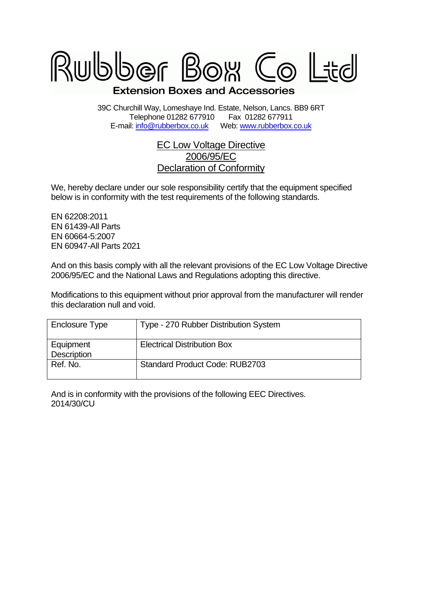

39C Churchill Way, Lomeshaye Ind. Estate, Nelson, Lancs. BB9 6RT Telephone 01282 677910 Fax 01282 677911 E-mail: [info@rubberbox.co.uk](mailto:info@rubberbox.co.uk)Web: [www.rubberbox.co.uk](http://www.rubberbox.co.uk/)

## EC Low Voltage Directive 2006/95/EC Declaration of Conformity

We, hereby declare under our sole responsibility certify that the equipment specified below is in conformity with the test requirements of the following standards.

EN 62208:2011 EN 61439-All Parts EN 60664-5:2007 EN 60947-All Parts 2021

And on this basis comply with all the relevant provisions of the EC Low Voltage Directive 2006/95/EC and the National Laws and Regulations adopting this directive.

Modifications to this equipment without prior approval from the manufacturer will render this declaration null and void.

| Enclosure Type           | Type - 270 Rubber Distribution System |
|--------------------------|---------------------------------------|
| Equipment<br>Description | <b>Electrical Distribution Box</b>    |
| Ref. No.                 | <b>Standard Product Code: RUB2703</b> |

And is in conformity with the provisions of the following EEC Directives. 2014/30/CU